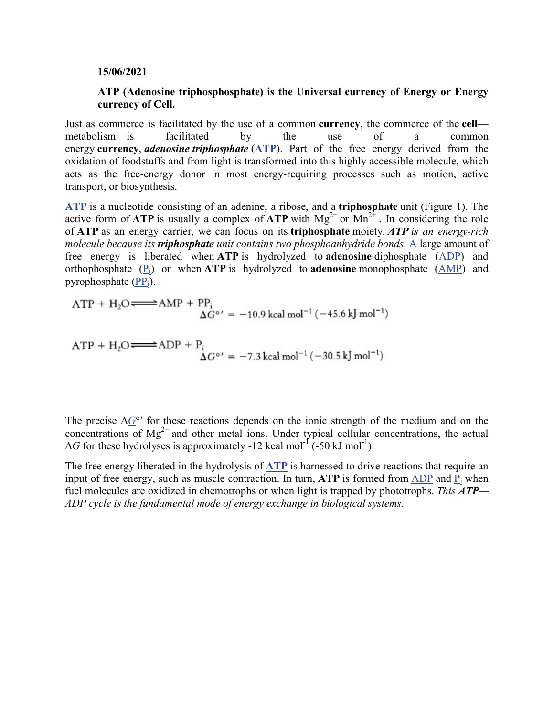## **15/06/2021**

## **ATP (Adenosine triphosphosphate) is the Universal currency of Energy or Energy currency of Cell.**

Just as commerce is facilitated by the use of a common **currency**, the commerce of the **cell** metabolism—is facilitated by the use of a common energy **currency**, *adenosine triphosphate* (**ATP**). Part of the free energy derived from the oxidation of foodstuffs and from light is transformed into this highly accessible molecule, which acts as the free-energy donor in most energy-requiring processes such as motion, active transport, or biosynthesis.

**ATP** is a nucleotide consisting of an adenine, a ribose, and a **triphosphate** unit (Figure 1). The active form of **ATP** is usually a complex of **ATP** with  $Mg^{2+}$  or  $Mn^{2+}$ . In considering the role of **ATP** as an energy carrier, we can focus on its **triphosphate** moiety. *ATP is an energy-rich molecule because its triphosphate unit contains two phosphoanhydride bonds*. A large amount of free energy is liberated when **ATP** is hydrolyzed to **adenosine** diphosphate (ADP) and orthophosphate (Pi) or when **ATP** is hydrolyzed to **adenosine** monophosphate (AMP) and pyrophosphate  $(PP_i)$ .

$$
ATP + H_2O \longrightarrow AMP + PP_i
$$
  

$$
\Delta G^{\circ'} = -10.9 \text{ kcal mol}^{-1} (-45.6 \text{ kJ mol}^{-1})
$$

$$
\mathrm{ATP} + \mathrm{H}_2\mathrm{O} \mathop{\Longleftrightarrow} \mathrm{ADP} + \mathrm{P_i} \newline \Delta G^{\circ\,\prime} = -7.3~\text{kcal}~\text{mol}^{-1}\,(-30.5~\text{kJ}~\text{mol}^{-1})
$$

The precise  $\Delta G^{\circ}$  for these reactions depends on the ionic strength of the medium and on the concentrations of  $Mg^{2+}$  and other metal ions. Under typical cellular concentrations, the actual  $\Delta G$  for these hydrolyses is approximately -12 kcal mol<sup>-1</sup> (-50 kJ mol<sup>-1</sup>).

The free energy liberated in the hydrolysis of **ATP** is harnessed to drive reactions that require an input of free energy, such as muscle contraction. In turn,  $ATP$  is formed from  $ADP$  and  $P_i$  when fuel molecules are oxidized in chemotrophs or when light is trapped by phototrophs. *This ATP— ADP cycle is the fundamental mode of energy exchange in biological systems.*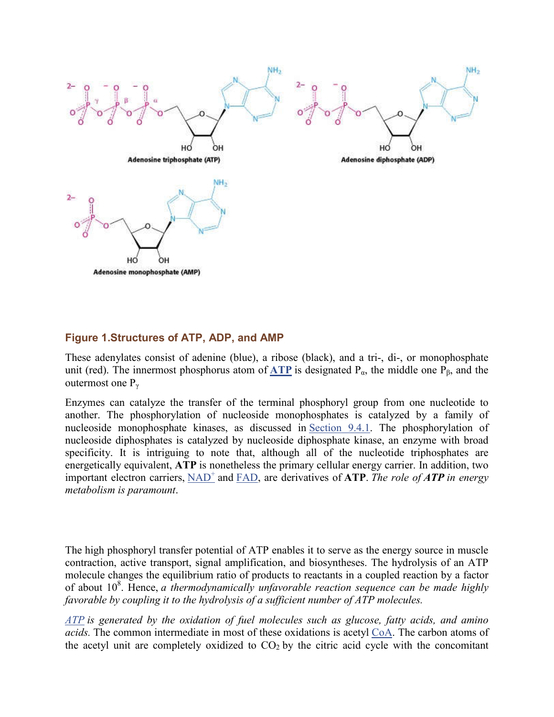

## **Figure 1.Structures of ATP, ADP, and AMP**

These adenylates consist of adenine (blue), a ribose (black), and a tri-, di-, or monophosphate unit (red). The innermost phosphorus atom of **ATP** is designated  $P_{\alpha}$ , the middle one  $P_{\beta}$ , and the outermost one  $P_{\gamma}$ 

Enzymes can catalyze the transfer of the terminal phosphoryl group from one nucleotide to another. The phosphorylation of nucleoside monophosphates is catalyzed by a family of nucleoside monophosphate kinases, as discussed in Section 9.4.1. The phosphorylation of nucleoside diphosphates is catalyzed by nucleoside diphosphate kinase, an enzyme with broad specificity. It is intriguing to note that, although all of the nucleotide triphosphates are energetically equivalent, **ATP** is nonetheless the primary cellular energy carrier. In addition, two important electron carriers, NAD<sup>+</sup> and FAD, are derivatives of **ATP**. The role of **ATP** in energy *metabolism is paramount*.

The high phosphoryl transfer potential of ATP enables it to serve as the energy source in muscle contraction, active transport, signal amplification, and biosyntheses. The hydrolysis of an ATP molecule changes the equilibrium ratio of products to reactants in a coupled reaction by a factor of about 10<sup>8</sup>. Hence, *a thermodynamically unfavorable reaction sequence can be made highly favorable by coupling it to the hydrolysis of a sufficient number of ATP molecules.*

*ATP is generated by the oxidation of fuel molecules such as glucose, fatty acids, and amino acids.* The common intermediate in most of these oxidations is acetyl CoA. The carbon atoms of the acetyl unit are completely oxidized to  $CO<sub>2</sub>$  by the citric acid cycle with the concomitant